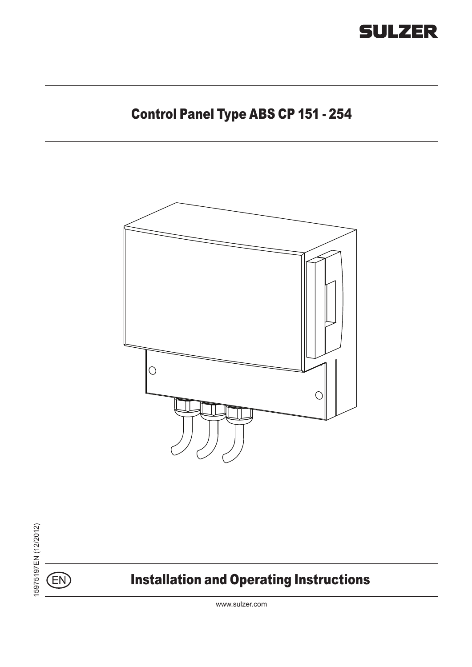





www.sulzer.com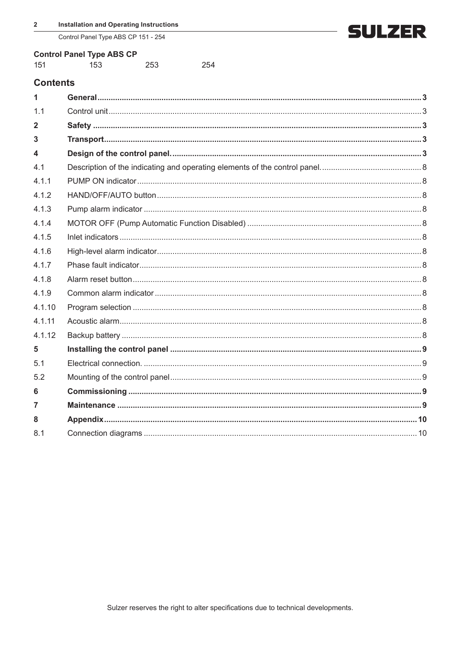#### **Control Panel Type ABS CP**

153

151

254

253

# **Contents**

| 1.                      |  |
|-------------------------|--|
| 1.1                     |  |
| $\overline{2}$          |  |
| 3                       |  |
| $\overline{\mathbf{4}}$ |  |
| 4.1                     |  |
| 4.1.1                   |  |
| 4.1.2                   |  |
| 4.1.3                   |  |
| 4.1.4                   |  |
| 4.1.5                   |  |
| 4.1.6                   |  |
| 4.1.7                   |  |
| 4.1.8                   |  |
| 4.1.9                   |  |
| 4.1.10                  |  |
| 4.1.11                  |  |
| 4.1.12                  |  |
| 5                       |  |
| 5.1                     |  |
| 5.2                     |  |
| 6                       |  |
| $\overline{7}$          |  |
| 8                       |  |
| 8.1                     |  |
|                         |  |

**SULZER**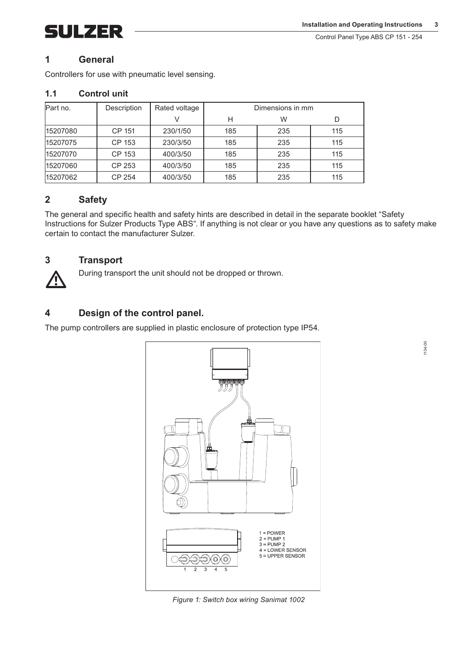# SULZER

# **1 General**

Controllers for use with pneumatic level sensing.

# **1.1 Control unit**

| Part no. | Description | Rated voltage | Dimensions in mm |     |     |  |  |
|----------|-------------|---------------|------------------|-----|-----|--|--|
|          |             |               | Н                | W   |     |  |  |
| 15207080 | CP 151      | 230/1/50      | 185              | 235 | 115 |  |  |
| 15207075 | CP 153      | 230/3/50      | 185              | 235 | 115 |  |  |
| 15207070 | CP 153      | 400/3/50      | 185              | 235 | 115 |  |  |
| 15207060 | CP 253      | 400/3/50      | 185              | 235 | 115 |  |  |
| 15207062 | CP 254      | 400/3/50      | 185              | 235 | 115 |  |  |

# **2 Safety**

The general and specific health and safety hints are described in detail in the separate booklet "Safety Instructions for Sulzer Products Type ABS". If anything is not clear or you have any questions as to safety make certain to contact the manufacturer Sulzer.

# **3 Transport**

During transport the unit should not be dropped or thrown.

# **4 Design of the control panel.**

The pump controllers are supplied in plastic enclosure of protection type IP54.



*Figure 1: Switch box wiring Sanimat 1002*

1134-00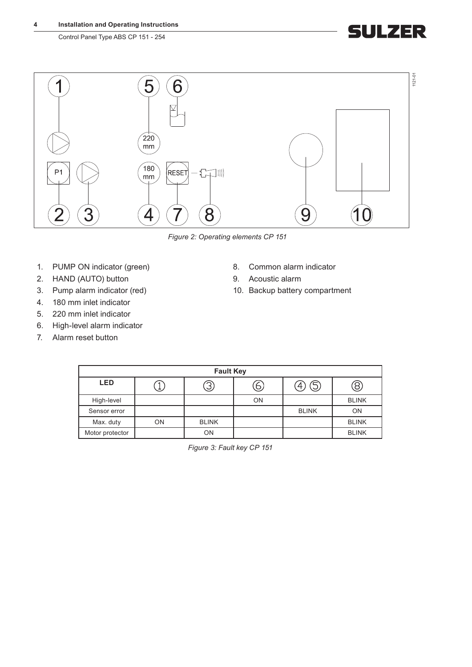

*Figure 2: Operating elements CP 151*

- 1. PUMP ON indicator (green)
- 2. HAND (AUTO) button
- 3. Pump alarm indicator (red)
- 4. 180 mm inlet indicator
- 5. 220 mm inlet indicator
- 6. High-level alarm indicator
- 7. Alarm reset button
- 8. Common alarm indicator
- 9. Acoustic alarm
- 10. Backup battery compartment

**SULZER** 

| <b>Fault Key</b> |    |              |           |              |              |  |  |  |  |
|------------------|----|--------------|-----------|--------------|--------------|--|--|--|--|
| <b>LED</b>       |    | 3            | 6         | 5            | 8)           |  |  |  |  |
| High-level       |    |              | <b>ON</b> |              | <b>BLINK</b> |  |  |  |  |
| Sensor error     |    |              |           | <b>BLINK</b> | ON           |  |  |  |  |
| Max. duty        | ON | <b>BLINK</b> |           |              | <b>BLINK</b> |  |  |  |  |
| Motor protector  |    | <b>ON</b>    |           |              | <b>BLINK</b> |  |  |  |  |

*Figure 3: Fault key CP 151*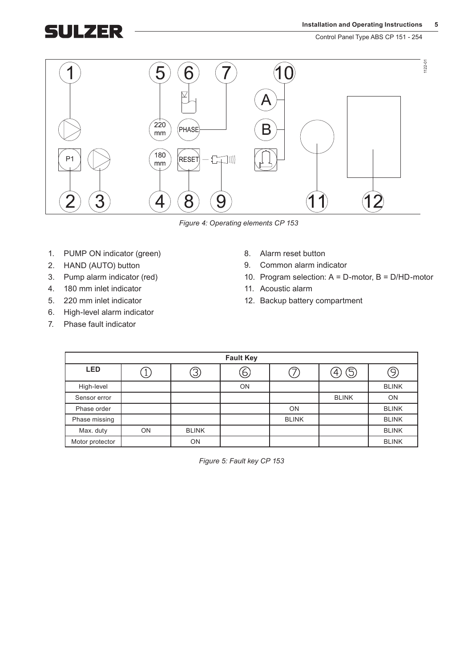#### **Installation and Operating Instructions 5**

#### Control Panel Type ABS CP 151 - 254



*Figure 4: Operating elements CP 153*

- 1. PUMP ON indicator (green)
- 2. HAND (AUTO) button

**SULZER** 

- 3. Pump alarm indicator (red)
- 4. 180 mm inlet indicator
- 5. 220 mm inlet indicator
- 6. High-level alarm indicator
- 7. Phase fault indicator
- 8. Alarm reset button
- 9. Common alarm indicator
- 10. Program selection: A = D-motor, B = D/HD-motor
- 11. Acoustic alarm
- 12. Backup battery compartment

| <b>Fault Key</b> |    |              |           |              |              |              |  |  |  |
|------------------|----|--------------|-----------|--------------|--------------|--------------|--|--|--|
| <b>LED</b>       |    |              | 6         |              | (5<br>4)     | У            |  |  |  |
| High-level       |    |              | <b>ON</b> |              |              | <b>BLINK</b> |  |  |  |
| Sensor error     |    |              |           |              | <b>BLINK</b> | <b>ON</b>    |  |  |  |
| Phase order      |    |              |           | <b>ON</b>    |              | <b>BLINK</b> |  |  |  |
| Phase missing    |    |              |           | <b>BLINK</b> |              | <b>BLINK</b> |  |  |  |
| Max. duty        | ON | <b>BLINK</b> |           |              |              | <b>BLINK</b> |  |  |  |
| Motor protector  |    | ON           |           |              |              | <b>BLINK</b> |  |  |  |

*Figure 5: Fault key CP 153*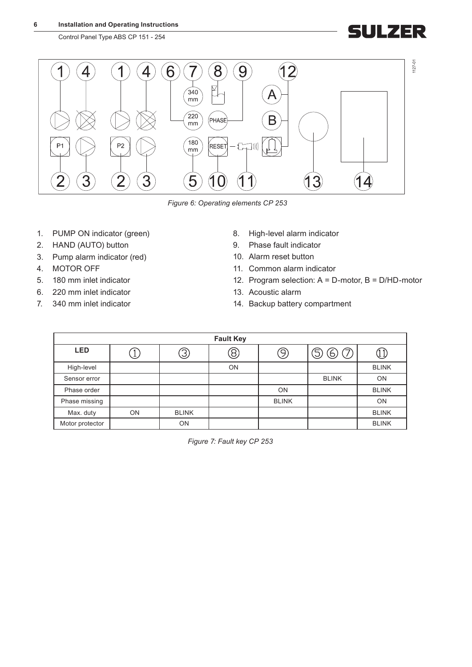# SULZER

Control Panel Type ABS CP 151 - 254



*Figure 6: Operating elements CP 253*

- 1. PUMP ON indicator (green)
- 2. HAND (AUTO) button
- 3. Pump alarm indicator (red)
- 4. MOTOR OFF
- 5. 180 mm inlet indicator
- 6. 220 mm inlet indicator
- 7. 340 mm inlet indicator
- 8. High-level alarm indicator
- 9. Phase fault indicator
- 10. Alarm reset button
- 11. Common alarm indicator
- 12. Program selection: A = D-motor, B = D/HD-motor
- 13. Acoustic alarm
- 14. Backup battery compartment

| <b>Fault Key</b> |           |              |    |              |              |              |  |  |  |
|------------------|-----------|--------------|----|--------------|--------------|--------------|--|--|--|
| <b>LED</b>       |           |              | 8  | 9            | 6)           |              |  |  |  |
| High-level       |           |              | ON |              |              | <b>BLINK</b> |  |  |  |
| Sensor error     |           |              |    |              | <b>BLINK</b> | <b>ON</b>    |  |  |  |
| Phase order      |           |              |    | ON           |              | <b>BLINK</b> |  |  |  |
| Phase missing    |           |              |    | <b>BLINK</b> |              | <b>ON</b>    |  |  |  |
| Max. duty        | <b>ON</b> | <b>BLINK</b> |    |              |              | <b>BLINK</b> |  |  |  |
| Motor protector  |           | ON           |    |              |              | <b>BLINK</b> |  |  |  |

*Figure 7: Fault key CP 253*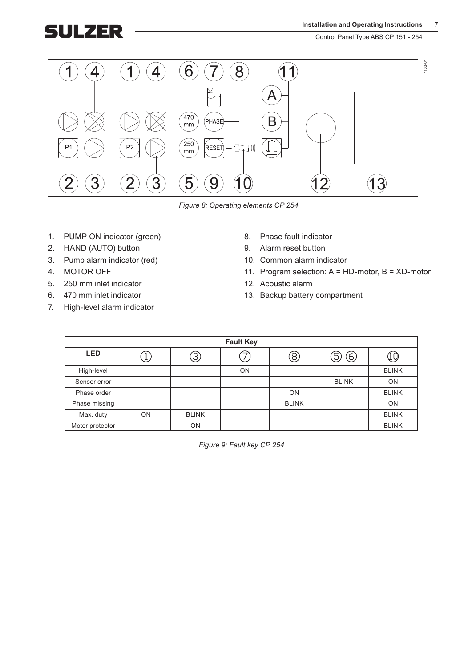#### **Installation and Operating Instructions 7**

Control Panel Type ABS CP 151 - 254





*Figure 8: Operating elements CP 254*

- 1. PUMP ON indicator (green)
- 2. HAND (AUTO) button
- 3. Pump alarm indicator (red)
- 4. MOTOR OFF
- 5. 250 mm inlet indicator
- 6. 470 mm inlet indicator
- 7. High-level alarm indicator
- 8. Phase fault indicator
- 9. Alarm reset button
- 10. Common alarm indicator
- 11. Program selection: A = HD-motor, B = XD-motor
- 12. Acoustic alarm
- 13. Backup battery compartment

| <b>Fault Key</b> |    |              |           |              |              |              |  |  |  |
|------------------|----|--------------|-----------|--------------|--------------|--------------|--|--|--|
| <b>LED</b>       |    |              |           | $\circledS$  | $\odot$      |              |  |  |  |
| High-level       |    |              | <b>ON</b> |              |              | <b>BLINK</b> |  |  |  |
| Sensor error     |    |              |           |              | <b>BLINK</b> | ON           |  |  |  |
| Phase order      |    |              |           | <b>ON</b>    |              | <b>BLINK</b> |  |  |  |
| Phase missing    |    |              |           | <b>BLINK</b> |              | ON           |  |  |  |
| Max. duty        | ON | <b>BLINK</b> |           |              |              | <b>BLINK</b> |  |  |  |
| Motor protector  |    | 0N           |           |              |              | <b>BLINK</b> |  |  |  |

*Figure 9: Fault key CP 254*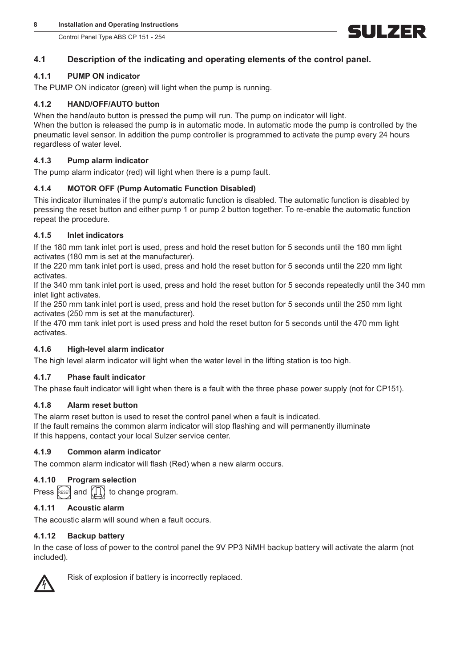#### **8 Installation and Operating Instructions**

Control Panel Type ABS CP 151 - 254

# 51 II 7 ER

## **4.1 Description of the indicating and operating elements of the control panel.**

#### **4.1.1 PUMP ON indicator**

The PUMP ON indicator (green) will light when the pump is running.

#### **4.1.2 HAND/OFF/AUTO button**

When the hand/auto button is pressed the pump will run. The pump on indicator will light. When the button is released the pump is in automatic mode. In automatic mode the pump is controlled by the pneumatic level sensor. In addition the pump controller is programmed to activate the pump every 24 hours regardless of water level.

#### **4.1.3 Pump alarm indicator**

The pump alarm indicator (red) will light when there is a pump fault.

#### **4.1.4 MOTOR OFF (Pump Automatic Function Disabled)**

This indicator illuminates if the pump's automatic function is disabled. The automatic function is disabled by pressing the reset button and either pump 1 or pump 2 button together. To re-enable the automatic function repeat the procedure.

#### **4.1.5 Inlet indicators**

If the 180 mm tank inlet port is used, press and hold the reset button for 5 seconds until the 180 mm light activates (180 mm is set at the manufacturer).

If the 220 mm tank inlet port is used, press and hold the reset button for 5 seconds until the 220 mm light activates.

If the 340 mm tank inlet port is used, press and hold the reset button for 5 seconds repeatedly until the 340 mm inlet light activates.

If the 250 mm tank inlet port is used, press and hold the reset button for 5 seconds until the 250 mm light activates (250 mm is set at the manufacturer).

If the 470 mm tank inlet port is used press and hold the reset button for 5 seconds until the 470 mm light activates.

#### **4.1.6 High-level alarm indicator**

The high level alarm indicator will light when the water level in the lifting station is too high.

#### **4.1.7 Phase fault indicator**

The phase fault indicator will light when there is a fault with the three phase power supply (not for CP151).

#### **4.1.8 Alarm reset button**

The alarm reset button is used to reset the control panel when a fault is indicated. If the fault remains the common alarm indicator will stop flashing and will permanently illuminate If this happens, contact your local Sulzer service center.

### **4.1.9 Common alarm indicator**

The common alarm indicator will flash (Red) when a new alarm occurs.

#### **4.1.10 Program selection**

Press  $\left[\text{Res}\right]$  and  $\left(\begin{matrix} 1 \\ 1 \end{matrix}\right)$  to change program.

### **4.1.11 Acoustic alarm**

The acoustic alarm will sound when a fault occurs.

#### **4.1.12 Backup battery**

In the case of loss of power to the control panel the 9V PP3 NiMH backup battery will activate the alarm (not included).



Risk of explosion if battery is incorrectly replaced.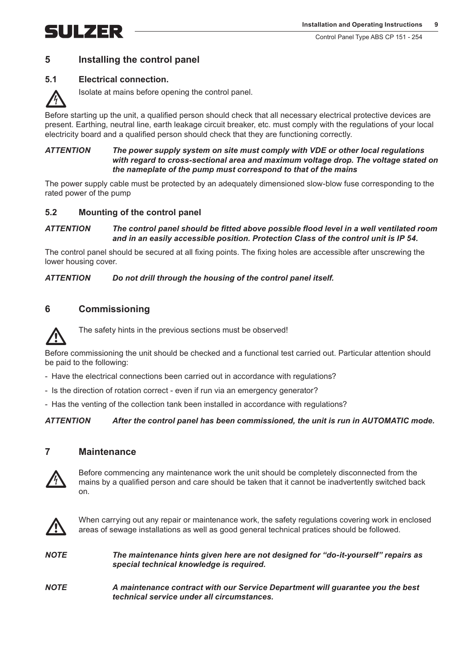

## **5 Installing the control panel**

#### **5.1 Electrical connection.**

Isolate at mains before opening the control panel.

Before starting up the unit, a qualified person should check that all necessary electrical protective devices are present. Earthing, neutral line, earth leakage circuit breaker, etc. must comply with the regulations of your local electricity board and a qualified person should check that they are functioning correctly.

#### *ATTENTION The power supply system on site must comply with VDE or other local regulations with regard to cross-sectional area and maximum voltage drop. The voltage stated on the nameplate of the pump must correspond to that of the mains*

The power supply cable must be protected by an adequately dimensioned slow-blow fuse corresponding to the rated power of the pump

#### **5.2 Mounting of the control panel**

#### *ATTENTION The control panel should be fitted above possible flood level in a well ventilated room and in an easily accessible position. Protection Class of the control unit is IP 54.*

The control panel should be secured at all fixing points. The fixing holes are accessible after unscrewing the lower housing cover.

#### *ATTENTION Do not drill through the housing of the control panel itself.*

### **6 Commissioning**



The safety hints in the previous sections must be observed!

Before commissioning the unit should be checked and a functional test carried out. Particular attention should be paid to the following:

- Have the electrical connections been carried out in accordance with regulations?
- Is the direction of rotation correct even if run via an emergency generator?
- Has the venting of the collection tank been installed in accordance with regulations?

#### *ATTENTION After the control panel has been commissioned, the unit is run in AUTOMATIC mode.*

#### **7 Maintenance**



Before commencing any maintenance work the unit should be completely disconnected from the<br>mains by a qualified person and care should be taken that it cannot be inadvertently switched bad mains by a qualified person and care should be taken that it cannot be inadvertently switched back on.



When carrying out any repair or maintenance work, the safety regulations covering work in enclosed<br>areas of sewage installations as well as good general technical pratices should be followed. areas of sewage installations as well as good general technical pratices should be followed.

*NOTE The maintenance hints given here are not designed for "do-it-yourself" repairs as special technical knowledge is required.*

*NOTE A maintenance contract with our Service Department will guarantee you the best technical service under all circumstances.*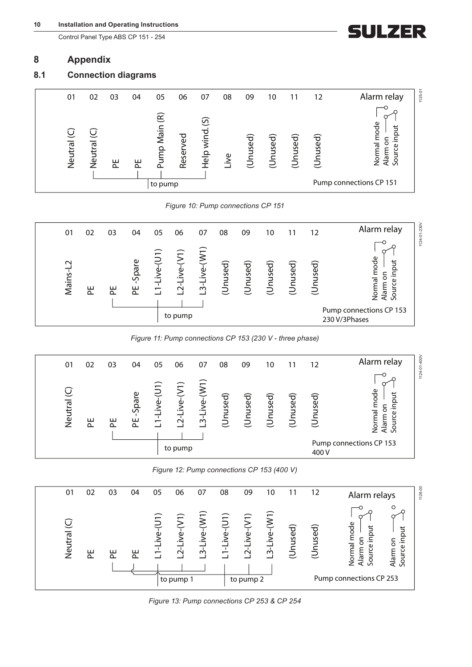# **8 Appendix**

## **8.1 Connection diagrams**



51 II 7 FR

#### *Figure 10: Pump connections CP 151*



*Figure 11: Pump connections CP 153 (230 V - three phase)*

| 01                                 | 02 | 03 | 04             | 05                                         | 06            | 07                                      | 08      | 09      | 10    | 11      | 12       | 1124-01-400\<br>Alarm relay  |
|------------------------------------|----|----|----------------|--------------------------------------------|---------------|-----------------------------------------|---------|---------|-------|---------|----------|------------------------------|
| $\overline{\mathbb{Q}}$<br>Neutral | 뿐  | 뿐  | pare<br>Ū<br>뿐 | (11)<br>υ<br>-<br>$\overline{\phantom{0}}$ | (1)<br>$\sim$ | $\widehat{H}$<br>$\geq$<br>.≥<br>$\sim$ | Unused) | Unused) | nused | Unused) | (Unused) | mode<br>ēu<br>Aā<br>Sou<br>z |
|                                    |    |    |                |                                            | to pump       |                                         |         |         |       |         | 400 V    | Pump connections CP 153      |

*Figure 12: Pump connections CP 153 (400 V)*



*Figure 13: Pump connections CP 253 & CP 254*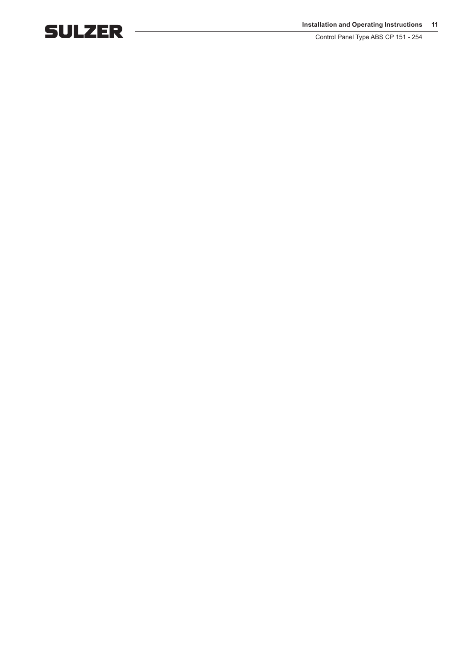